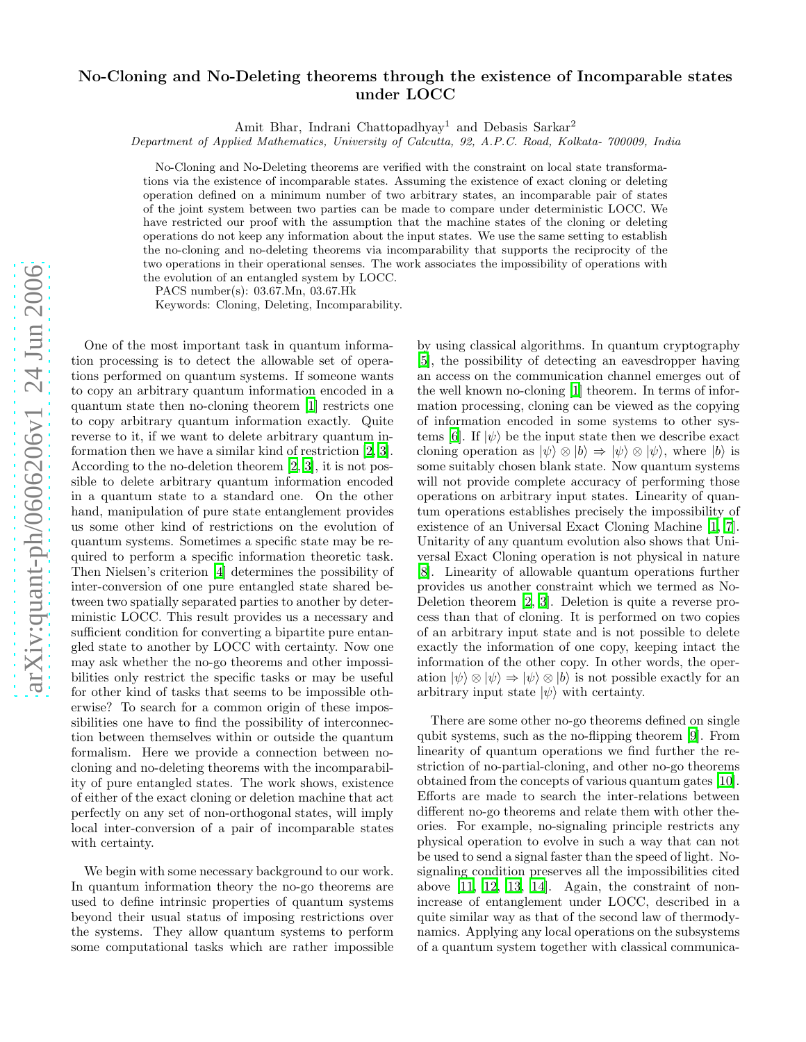## No-Cloning and No-Deleting theorems through the existence of Incomparable states under LOCC

Amit Bhar, Indrani Chattopadhyay <sup>1</sup> and Debasis Sarkar 2

Department of Applied Mathematics, University of Calcutta, 92, A.P.C. Road, Kolkata- 700009, India

No-Cloning and No-Deleting theorems are verified with the constraint on local state transformations via the existence of incomparable states. Assuming the existence of exact cloning or deleting operation defined on a minimum number of two arbitrary states, an incomparable pair of states of the joint system between two parties can be made to compare under deterministic LOCC. We have restricted our proof with the assumption that the machine states of the cloning or deleting operations do not keep any information about the input states. We use the same setting to establish the no-cloning and no-deleting theorems via incomparability that supports the reciprocity of the two operations in their operational senses. The work associates the impossibility of operations with the evolution of an entangled system by LOCC.

PACS number(s): 03.67.Mn, 03.67.Hk

Keywords: Cloning, Deleting, Incomparability.

One of the most important task in quantum information processing is to detect the allowable set of operations performed on quantum systems. If someone wants to copy an arbitrary quantum information encoded in a quantum state then no-cloning theorem [\[1](#page-2-0)] restricts one to copy arbitrary quantum information exactly. Quite reverse to it, if we want to delete arbitrary quantum information then we have a similar kind of restriction [\[2](#page-2-1), [3\]](#page-2-2). According to the no-deletion theorem [\[2,](#page-2-1) [3\]](#page-2-2), it is not possible to delete arbitrary quantum information encoded in a quantum state to a standard one. On the other hand, manipulation of pure state entanglement provides us some other kind of restrictions on the evolution of quantum systems. Sometimes a specific state may be required to perform a specific information theoretic task. Then Nielsen's criterion [\[4](#page-2-3)] determines the possibility of inter-conversion of one pure entangled state shared between two spatially separated parties to another by deterministic LOCC. This result provides us a necessary and sufficient condition for converting a bipartite pure entangled state to another by LOCC with certainty. Now one may ask whether the no-go theorems and other impossibilities only restrict the specific tasks or may be useful for other kind of tasks that seems to be impossible otherwise? To search for a common origin of these impossibilities one have to find the possibility of interconnection between themselves within or outside the quantum formalism. Here we provide a connection between nocloning and no-deleting theorems with the incomparability of pure entangled states. The work shows, existence of either of the exact cloning or deletion machine that act perfectly on any set of non-orthogonal states, will imply local inter-conversion of a pair of incomparable states with certainty.

We begin with some necessary background to our work. In quantum information theory the no-go theorems are used to define intrinsic properties of quantum systems beyond their usual status of imposing restrictions over the systems. They allow quantum systems to perform some computational tasks which are rather impossible

by using classical algorithms. In quantum cryptography [\[5\]](#page-2-4), the possibility of detecting an eavesdropper having an access on the communication channel emerges out of the well known no-cloning [\[1](#page-2-0)] theorem. In terms of information processing, cloning can be viewed as the copying of information encoded in some systems to other sys-tems [\[6](#page-2-5)]. If  $|\psi\rangle$  be the input state then we describe exact cloning operation as  $|\psi\rangle \otimes |b\rangle \Rightarrow |\psi\rangle \otimes |\psi\rangle$ , where  $|b\rangle$  is some suitably chosen blank state. Now quantum systems will not provide complete accuracy of performing those operations on arbitrary input states. Linearity of quantum operations establishes precisely the impossibility of existence of an Universal Exact Cloning Machine [\[1,](#page-2-0) [7\]](#page-2-6). Unitarity of any quantum evolution also shows that Universal Exact Cloning operation is not physical in nature [\[8\]](#page-2-7). Linearity of allowable quantum operations further provides us another constraint which we termed as No-Deletion theorem [\[2,](#page-2-1) [3](#page-2-2)]. Deletion is quite a reverse process than that of cloning. It is performed on two copies of an arbitrary input state and is not possible to delete exactly the information of one copy, keeping intact the information of the other copy. In other words, the operation  $|\psi\rangle \otimes |\psi\rangle \Rightarrow |\psi\rangle \otimes |b\rangle$  is not possible exactly for an arbitrary input state  $|\psi\rangle$  with certainty.

There are some other no-go theorems defined on single qubit systems, such as the no-flipping theorem [\[9](#page-2-8)]. From linearity of quantum operations we find further the restriction of no-partial-cloning, and other no-go theorems obtained from the concepts of various quantum gates [\[10\]](#page-2-9). Efforts are made to search the inter-relations between different no-go theorems and relate them with other theories. For example, no-signaling principle restricts any physical operation to evolve in such a way that can not be used to send a signal faster than the speed of light. Nosignaling condition preserves all the impossibilities cited above [\[11,](#page-2-10) [12,](#page-2-11) [13,](#page-2-12) [14\]](#page-2-13). Again, the constraint of nonincrease of entanglement under LOCC, described in a quite similar way as that of the second law of thermodynamics. Applying any local operations on the subsystems of a quantum system together with classical communica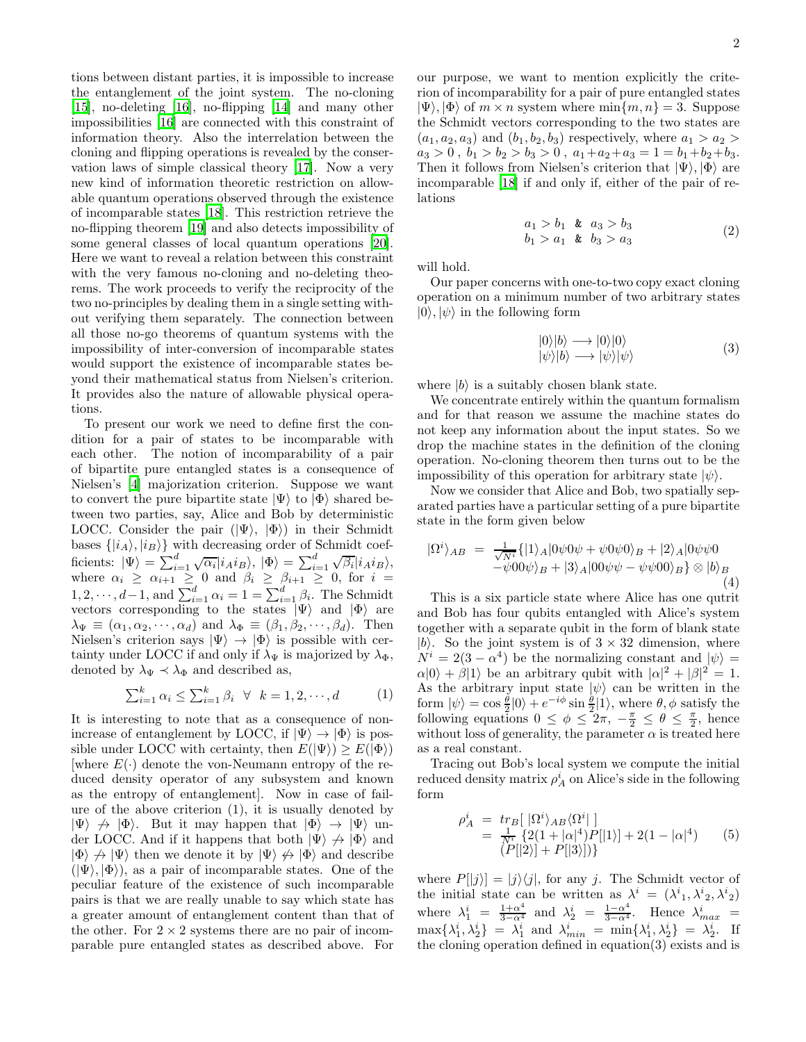tions between distant parties, it is impossible to increase the entanglement of the joint system. The no-cloning [\[15\]](#page-2-14), no-deleting [\[16\]](#page-2-15), no-flipping [\[14\]](#page-2-13) and many other impossibilities [\[16\]](#page-2-15) are connected with this constraint of information theory. Also the interrelation between the cloning and flipping operations is revealed by the conservation laws of simple classical theory [\[17\]](#page-3-0). Now a very new kind of information theoretic restriction on allowable quantum operations observed through the existence of incomparable states [\[18](#page-3-1)]. This restriction retrieve the no-flipping theorem [\[19\]](#page-3-2) and also detects impossibility of some general classes of local quantum operations [\[20\]](#page-3-3). Here we want to reveal a relation between this constraint with the very famous no-cloning and no-deleting theorems. The work proceeds to verify the reciprocity of the two no-principles by dealing them in a single setting without verifying them separately. The connection between all those no-go theorems of quantum systems with the impossibility of inter-conversion of incomparable states would support the existence of incomparable states beyond their mathematical status from Nielsen's criterion. It provides also the nature of allowable physical operations.

To present our work we need to define first the condition for a pair of states to be incomparable with each other. The notion of incomparability of a pair of bipartite pure entangled states is a consequence of Nielsen's [\[4\]](#page-2-3) majorization criterion. Suppose we want to convert the pure bipartite state  $|\Psi\rangle$  to  $|\Phi\rangle$  shared between two parties, say, Alice and Bob by deterministic LOCC. Consider the pair  $(|\Psi\rangle, |\Phi\rangle)$  in their Schmidt bases  $\{|i_A\rangle, |i_B\rangle\}$  with decreasing order of Schmidt coefficients:  $|\Psi\rangle = \sum_{i=1}^d \sqrt{\alpha_i} |i_A i_B\rangle, |\Phi\rangle = \sum_{i=1}^d \sqrt{\beta_i} |i_A i_B\rangle,$ where  $\alpha_i \geq \alpha_{i+1} \geq 0$  and  $\beta_i \geq \beta_{i+1} \geq 0$ , for  $i =$  $1, 2, \cdots, d-1$ , and  $\sum_{i=1}^{d} \alpha_i = 1 = \sum_{i=1}^{d} \beta_i$ . The Schmidt vectors corresponding to the states  $|\Psi\rangle$  and  $|\Phi\rangle$  are  $\lambda_{\Psi} \equiv (\alpha_1, \alpha_2, \cdots, \alpha_d)$  and  $\lambda_{\Phi} \equiv (\beta_1, \beta_2, \cdots, \beta_d)$ . Then Nielsen's criterion says  $|\Psi\rangle \rightarrow |\Phi\rangle$  is possible with certainty under LOCC if and only if  $\lambda_{\Psi}$  is majorized by  $\lambda_{\Phi}$ , denoted by  $\lambda_{\Psi} \prec \lambda_{\Phi}$  and described as,

$$
\sum_{i=1}^{k} \alpha_i \le \sum_{i=1}^{k} \beta_i \quad \forall \quad k = 1, 2, \cdots, d \tag{1}
$$

It is interesting to note that as a consequence of nonincrease of entanglement by LOCC, if  $|\Psi\rangle \rightarrow |\Phi\rangle$  is possible under LOCC with certainty, then  $E(|\Psi\rangle) \geq E(|\Phi\rangle)$ [where  $E(\cdot)$  denote the von-Neumann entropy of the reduced density operator of any subsystem and known as the entropy of entanglement]. Now in case of failure of the above criterion (1), it is usually denoted by  $|\Psi\rangle \nrightarrow |\Phi\rangle$ . But it may happen that  $|\Phi\rangle \rightarrow |\Psi\rangle$  under LOCC. And if it happens that both  $|\Psi\rangle \nrightarrow |\Phi\rangle$  and  $|\Phi\rangle \nrightarrow |\Psi\rangle$  then we denote it by  $|\Psi\rangle \nrightarrow |\Phi\rangle$  and describe  $(|\Psi\rangle, |\Phi\rangle)$ , as a pair of incomparable states. One of the peculiar feature of the existence of such incomparable pairs is that we are really unable to say which state has a greater amount of entanglement content than that of the other. For  $2 \times 2$  systems there are no pair of incomparable pure entangled states as described above. For

our purpose, we want to mention explicitly the criterion of incomparability for a pair of pure entangled states  $|\Psi\rangle, |\Phi\rangle$  of  $m \times n$  system where  $\min\{m, n\} = 3$ . Suppose the Schmidt vectors corresponding to the two states are  $(a_1, a_2, a_3)$  and  $(b_1, b_2, b_3)$  respectively, where  $a_1 > a_2$  $a_3 > 0$ ,  $b_1 > b_2 > b_3 > 0$ ,  $a_1 + a_2 + a_3 = 1 = b_1 + b_2 + b_3$ . Then it follows from Nielsen's criterion that  $|\Psi\rangle, |\Phi\rangle$  are incomparable [\[18\]](#page-3-1) if and only if, either of the pair of relations

$$
a_1 > b_1 \t k \t a_3 > b_3 b_1 > a_1 \t k \t b_3 > a_3
$$
 (2)

will hold.

Our paper concerns with one-to-two copy exact cloning operation on a minimum number of two arbitrary states  $|0\rangle, |\psi\rangle$  in the following form

$$
\begin{array}{l}\n|0\rangle|b\rangle \longrightarrow |0\rangle|0\rangle \\
|\psi\rangle|b\rangle \longrightarrow |\psi\rangle|\psi\rangle\n\end{array} (3)
$$

where  $|b\rangle$  is a suitably chosen blank state.

We concentrate entirely within the quantum formalism and for that reason we assume the machine states do not keep any information about the input states. So we drop the machine states in the definition of the cloning operation. No-cloning theorem then turns out to be the impossibility of this operation for arbitrary state  $|\psi\rangle$ .

Now we consider that Alice and Bob, two spatially separated parties have a particular setting of a pure bipartite state in the form given below

$$
|\Omega^{i}\rangle_{AB} = \frac{1}{\sqrt{N^{i}}} \{|1\rangle_{A}|0\psi 0\psi + \psi 0\psi 0\rangle_{B} + |2\rangle_{A}|0\psi\psi 0
$$
  

$$
-\psi 00\psi\rangle_{B} + |3\rangle_{A}|00\psi\psi - \psi\psi 00\rangle_{B} \otimes |b\rangle_{B}
$$
  
(4)

This is a six particle state where Alice has one qutrit and Bob has four qubits entangled with Alice's system together with a separate qubit in the form of blank state  $|b\rangle$ . So the joint system is of  $3 \times 32$  dimension, where  $N^i = 2(3 - \alpha^4)$  be the normalizing constant and  $|\psi\rangle =$  $\alpha|0\rangle + \beta|1\rangle$  be an arbitrary qubit with  $|\alpha|^2 + |\beta|^2 = 1$ . As the arbitrary input state  $|\psi\rangle$  can be written in the form  $|\psi\rangle = \cos\frac{\theta}{2}|0\rangle + e^{-i\phi}\sin\frac{\theta}{2}|1\rangle$ , where  $\theta, \phi$  satisfy the following equations  $0 \leq \phi \leq 2\pi$ ,  $-\frac{\pi}{2} \leq \theta \leq \frac{\pi}{2}$ , hence without loss of generality, the parameter  $\alpha$  is treated here as a real constant.

Tracing out Bob's local system we compute the initial reduced density matrix  $\rho_A^i$  on Alice's side in the following form

$$
\rho_A^i = \frac{tr_B[|\Omega^i\rangle_{AB}\langle\Omega^i|]}{E_A^i \{2(1+|\alpha|^4)P[|1\rangle] + 2(1-|\alpha|^4)} \qquad (5)
$$
  
\n
$$
(P[|2\rangle] + P[|3\rangle])
$$

where  $P[|j\rangle] = |j\rangle\langle j|$ , for any j. The Schmidt vector of the initial state can be written as  $\lambda^i = (\lambda^i_1, \lambda^i_2, \lambda^i_2)$ where  $\lambda_1^i = \frac{1+\alpha^4}{3-\alpha^4}$  and  $\lambda_2^i = \frac{1-\alpha^4}{3-\alpha^4}$ . Hence  $\lambda_{max}^i = \lambda_{max}^i$  $\max\{\lambda_1^i, \lambda_2^i\} = \lambda_1^i$  and  $\lambda_{min}^i = \min\{\lambda_1^i, \lambda_2^i\} = \lambda_2^i$ . If the cloning operation defined in equation(3) exists and is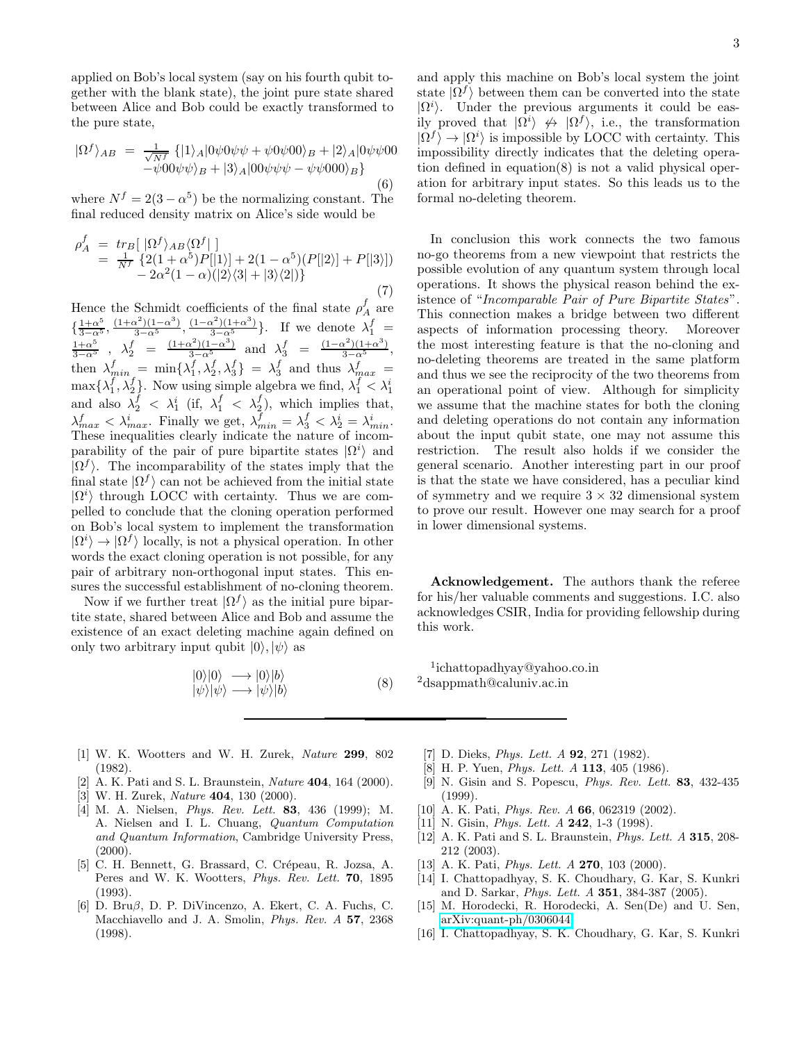applied on Bob's local system (say on his fourth qubit together with the blank state), the joint pure state shared between Alice and Bob could be exactly transformed to the pure state,

$$
|\Omega^f\rangle_{AB} = \frac{1}{\sqrt{N^f}} \left\{ |1\rangle_A |0\psi 0\psi \psi + \psi 0\psi 00\rangle_B + |2\rangle_A |0\psi \psi 00\rangle \right. \\ - \psi 00\psi \psi \rangle_B + |3\rangle_A |00\psi \psi \psi - \psi \psi 000\rangle_B \}
$$
\n(6)

where  $N^f = 2(3 - \alpha^5)$  be the normalizing constant. The final reduced density matrix on Alice's side would be

$$
\rho_A^f = \frac{tr_B[ |\Omega^f \rangle_{AB} \langle \Omega^f | ]}{\frac{1}{N^f} \{ 2(1+\alpha^5)P[|1\rangle] + 2(1-\alpha^5)(P[|2\rangle] + P[|3\rangle] \} - 2\alpha^2 (1-\alpha)(|2\rangle\langle 3| + |3\rangle\langle 2|)} \tag{7}
$$

Hence the Schmidt coefficients of the final state  $\rho_A^f$  are  $\{\frac{1+\alpha^5}{3-\alpha^5}, \frac{(1+\alpha^2)(1-\alpha^3)}{3-\alpha^5}, \frac{(1-\alpha^2)(1+\alpha^3)}{3-\alpha^5}\}.$  If we denote  $\lambda_1^f =$  $\frac{1+\alpha^5}{1+\alpha^2}(1-\alpha^3)(1-\alpha^2)(1+\alpha^3)$  If we denote  $\lambda^f$  $\frac{1+\alpha^5}{3-\alpha^5}$ ,  $\lambda_2^f = \frac{(1+\alpha^2)(1-\alpha^3)}{3-\alpha^5}$  and  $\lambda_3^f = \frac{(1-\alpha^2)(1+\alpha^3)}{3-\alpha^5}$ , then  $\lambda_{min}^f = \min\{\lambda_1^f, \lambda_2^f, \lambda_3^f\} = \lambda_3^f$  and thus  $\lambda_{max}^f =$  $\max\{\lambda_1^f, \lambda_2^f\}$ . Now using simple algebra we find,  $\lambda_1^f < \lambda_1^i$ and also  $\lambda_2^f$  <  $\lambda_1^i$  (if,  $\lambda_1^f$  <  $\lambda_2^f$ ), which implies that,  $\lambda_{max}^f < \lambda_{max}^i$ . Finally we get,  $\lambda_{min}^f = \lambda_3^f < \lambda_2^i = \lambda_{min}^i$ .  $f \sim \lambda^i$  Finally we get  $\lambda^f = \lambda^f \times \lambda^i = \lambda^i$ These inequalities clearly indicate the nature of incomparability of the pair of pure bipartite states  $| \Omega^i \rangle$  and  $|\Omega^f\rangle$ . The incomparability of the states imply that the final state  $|\Omega^f\rangle$  can not be achieved from the initial state  $|\Omega^i\rangle$  through LOCC with certainty. Thus we are compelled to conclude that the cloning operation performed on Bob's local system to implement the transformation  $|\Omega^i\rangle \rightarrow |\Omega^f\rangle$  locally, is not a physical operation. In other words the exact cloning operation is not possible, for any pair of arbitrary non-orthogonal input states. This ensures the successful establishment of no-cloning theorem.

Now if we further treat  $| \Omega^f \rangle$  as the initial pure bipartite state, shared between Alice and Bob and assume the existence of an exact deleting machine again defined on only two arbitrary input qubit  $|0\rangle, |\psi\rangle$  as

$$
\begin{array}{l} |0\rangle|0\rangle \longrightarrow |0\rangle|b\rangle\\ |\psi\rangle|\psi\rangle \longrightarrow |\psi\rangle|b\rangle \end{array} \tag{8}
$$

and apply this machine on Bob's local system the joint state  $|\Omega^f\rangle$  between them can be converted into the state  $|\Omega^i\rangle$ . Under the previous arguments it could be easily proved that  $|\Omega^i\rangle \nleftrightarrow |\Omega^f\rangle$ , i.e., the transformation  $|\Omega^f\rangle \rightarrow |\Omega^i\rangle$  is impossible by LOCC with certainty. This impossibility directly indicates that the deleting operation defined in equation(8) is not a valid physical operation for arbitrary input states. So this leads us to the formal no-deleting theorem.

In conclusion this work connects the two famous no-go theorems from a new viewpoint that restricts the possible evolution of any quantum system through local operations. It shows the physical reason behind the existence of "Incomparable Pair of Pure Bipartite States". This connection makes a bridge between two different aspects of information processing theory. Moreover the most interesting feature is that the no-cloning and no-deleting theorems are treated in the same platform and thus we see the reciprocity of the two theorems from an operational point of view. Although for simplicity we assume that the machine states for both the cloning and deleting operations do not contain any information about the input qubit state, one may not assume this restriction. The result also holds if we consider the general scenario. Another interesting part in our proof is that the state we have considered, has a peculiar kind of symmetry and we require  $3 \times 32$  dimensional system to prove our result. However one may search for a proof in lower dimensional systems.

Acknowledgement. The authors thank the referee for his/her valuable comments and suggestions. I.C. also acknowledges CSIR, India for providing fellowship during this work.

1 ichattopadhyay@yahoo.co.in <sup>2</sup>dsappmath@caluniv.ac.in

- <span id="page-2-0"></span>[1] W. K. Wootters and W. H. Zurek, Nature 299, 802 (1982).
- <span id="page-2-1"></span>[2] A. K. Pati and S. L. Braunstein, *Nature* **404**, 164 (2000).
- <span id="page-2-2"></span> $[3]$  W. H. Zurek, *Nature* 404, 130  $(2000)$ .
- <span id="page-2-3"></span>[4] M. A. Nielsen, Phys. Rev. Lett. 83, 436 (1999); M. A. Nielsen and I. L. Chuang, Quantum Computation and Quantum Information, Cambridge University Press,  $(2000)$ .
- <span id="page-2-4"></span>[5] C. H. Bennett, G. Brassard, C. Crépeau, R. Jozsa, A. Peres and W. K. Wootters, *Phys. Rev. Lett.* **70**, 1895 (1993).
- <span id="page-2-5"></span>[6] D. Bruβ, D. P. DiVincenzo, A. Ekert, C. A. Fuchs, C. Macchiavello and J. A. Smolin, Phys. Rev. A 57, 2368 (1998).
- <span id="page-2-6"></span>[7] D. Dieks, *Phys. Lett. A* **92**, 271 (1982).
- [8] H. P. Yuen, *Phys. Lett. A* 113, 405 (1986).
- <span id="page-2-8"></span><span id="page-2-7"></span>[9] N. Gisin and S. Popescu, Phys. Rev. Lett. 83, 432-435 (1999).
- <span id="page-2-9"></span>[10] A. K. Pati, *Phys. Rev. A* **66**, 062319 (2002).
- <span id="page-2-10"></span>[11] N. Gisin, *Phys. Lett. A* **242**, 1-3 (1998).
- <span id="page-2-11"></span>[12] A. K. Pati and S. L. Braunstein, *Phys. Lett. A* **315**, 208-212 (2003).
- <span id="page-2-12"></span>[13] A. K. Pati, *Phys. Lett. A* **270**, 103 (2000).
- <span id="page-2-13"></span>[14] I. Chattopadhyay, S. K. Choudhary, G. Kar, S. Kunkri and D. Sarkar, Phys. Lett. A 351, 384-387 (2005).
- <span id="page-2-14"></span>[15] M. Horodecki, R. Horodecki, A. Sen(De) and U. Sen, [arXiv:quant-ph/0306044.](http://arxiv.org/abs/quant-ph/0306044)
- <span id="page-2-15"></span>[16] I. Chattopadhyay, S. K. Choudhary, G. Kar, S. Kunkri